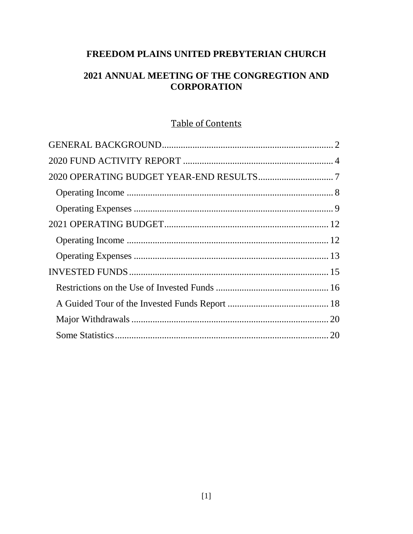# FREEDOM PLAINS UNITED PREBYTERIAN CHURCH

# 2021 ANNUAL MEETING OF THE CONGREGTION AND **CORPORATION**

# **Table of Contents**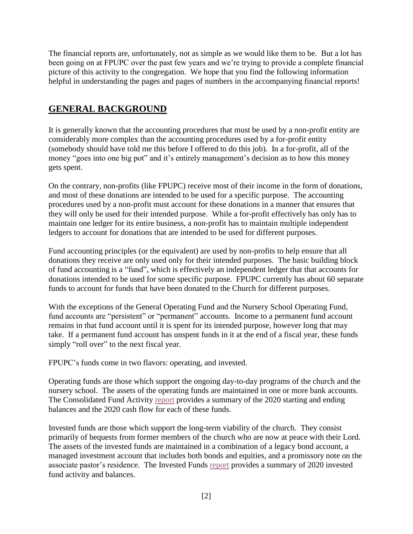The financial reports are, unfortunately, not as simple as we would like them to be. But a lot has been going on at FPUPC over the past few years and we're trying to provide a complete financial picture of this activity to the congregation. We hope that you find the following information helpful in understanding the pages and pages of numbers in the accompanying financial reports!

# <span id="page-1-0"></span>**GENERAL BACKGROUND**

It is generally known that the accounting procedures that must be used by a non-profit entity are considerably more complex than the accounting procedures used by a for-profit entity (somebody should have told me this before I offered to do this job). In a for-profit, all of the money "goes into one big pot" and it's entirely management's decision as to how this money gets spent.

On the contrary, non-profits (like FPUPC) receive most of their income in the form of donations, and most of these donations are intended to be used for a specific purpose. The accounting procedures used by a non-profit must account for these donations in a manner that ensures that they will only be used for their intended purpose. While a for-profit effectively has only has to maintain one ledger for its entire business, a non-profit has to maintain multiple independent ledgers to account for donations that are intended to be used for different purposes.

Fund accounting principles (or the equivalent) are used by non-profits to help ensure that all donations they receive are only used only for their intended purposes. The basic building block of fund accounting is a "fund", which is effectively an independent ledger that that accounts for donations intended to be used for some specific purpose. FPUPC currently has about 60 separate funds to account for funds that have been donated to the Church for different purposes.

With the exceptions of the General Operating Fund and the Nursery School Operating Fund, fund accounts are "persistent" or "permanent" accounts. Income to a permanent fund account remains in that fund account until it is spent for its intended purpose, however long that may take. If a permanent fund account has unspent funds in it at the end of a fiscal year, these funds simply "roll over" to the next fiscal year.

FPUPC's funds come in two flavors: operating, and invested.

Operating funds are those which support the ongoing day-to-day programs of the church and the nursery school. The assets of the operating funds are maintained in one or more bank accounts. The Consolidated Fund Activity [report](https://a4d042b4-37b0-4bbc-9658-bbb2c046ff6e.usrfiles.com/ugd/a4d042_b9203bd9666e4676a05875c97fe184c7.pdf) provides a summary of the 2020 starting and ending balances and the 2020 cash flow for each of these funds.

Invested funds are those which support the long-term viability of the church. They consist primarily of bequests from former members of the church who are now at peace with their Lord. The assets of the invested funds are maintained in a combination of a legacy bond account, a managed investment account that includes both bonds and equities, and a promissory note on the associate pastor's residence. The Invested Funds [report](https://a4d042b4-37b0-4bbc-9658-bbb2c046ff6e.usrfiles.com/ugd/a4d042_44d84b4da233452db3e2afd9802f583e.pdf) provides a summary of 2020 invested fund activity and balances.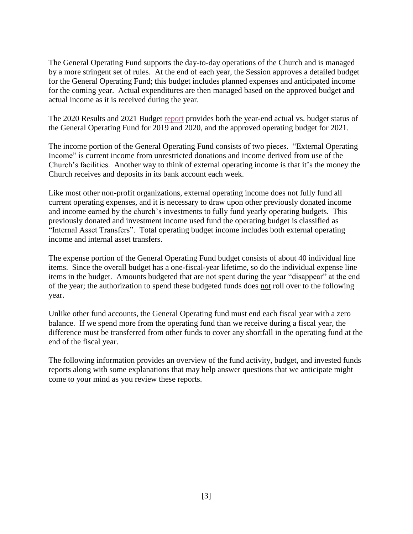The General Operating Fund supports the day-to-day operations of the Church and is managed by a more stringent set of rules. At the end of each year, the Session approves a detailed budget for the General Operating Fund; this budget includes planned expenses and anticipated income for the coming year. Actual expenditures are then managed based on the approved budget and actual income as it is received during the year.

The 2020 Results and 2021 Budget [report](https://a4d042b4-37b0-4bbc-9658-bbb2c046ff6e.usrfiles.com/ugd/a4d042_fb396766a411406294fb1c51cd5357be.pdf) provides both the year-end actual vs. budget status of the General Operating Fund for 2019 and 2020, and the approved operating budget for 2021.

The income portion of the General Operating Fund consists of two pieces. "External Operating Income" is current income from unrestricted donations and income derived from use of the Church's facilities. Another way to think of external operating income is that it's the money the Church receives and deposits in its bank account each week.

Like most other non-profit organizations, external operating income does not fully fund all current operating expenses, and it is necessary to draw upon other previously donated income and income earned by the church's investments to fully fund yearly operating budgets. This previously donated and investment income used fund the operating budget is classified as "Internal Asset Transfers". Total operating budget income includes both external operating income and internal asset transfers.

The expense portion of the General Operating Fund budget consists of about 40 individual line items. Since the overall budget has a one-fiscal-year lifetime, so do the individual expense line items in the budget. Amounts budgeted that are not spent during the year "disappear" at the end of the year; the authorization to spend these budgeted funds does not roll over to the following year.

Unlike other fund accounts, the General Operating fund must end each fiscal year with a zero balance. If we spend more from the operating fund than we receive during a fiscal year, the difference must be transferred from other funds to cover any shortfall in the operating fund at the end of the fiscal year.

The following information provides an overview of the fund activity, budget, and invested funds reports along with some explanations that may help answer questions that we anticipate might come to your mind as you review these reports.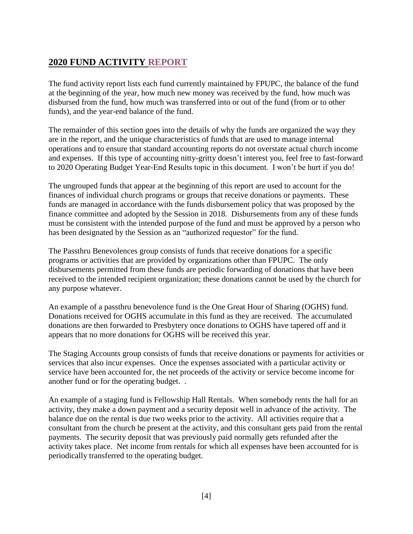# <span id="page-3-0"></span>**2020 FUND ACTIVITY [REPORT](https://a4d042b4-37b0-4bbc-9658-bbb2c046ff6e.usrfiles.com/ugd/a4d042_b9203bd9666e4676a05875c97fe184c7.pdf)**

The fund activity report lists each fund currently maintained by FPUPC, the balance of the fund at the beginning of the year, how much new money was received by the fund, how much was disbursed from the fund, how much was transferred into or out of the fund (from or to other funds), and the year-end balance of the fund.

The remainder of this section goes into the details of why the funds are organized the way they are in the report, and the unique characteristics of funds that are used to manage internal operations and to ensure that standard accounting reports do not overstate actual church income and expenses. If this type of accounting nitty-gritty doesn't interest you, feel free to fast-forward to 2020 Operating Budget Year-End Results topic in this document. I won't be hurt if you do!

The ungrouped funds that appear at the beginning of this report are used to account for the finances of individual church programs or groups that receive donations or payments. These funds are managed in accordance with the funds disbursement policy that was proposed by the finance committee and adopted by the Session in 2018. Disbursements from any of these funds must be consistent with the intended purpose of the fund and must be approved by a person who has been designated by the Session as an "authorized requestor" for the fund.

The Passthru Benevolences group consists of funds that receive donations for a specific programs or activities that are provided by organizations other than FPUPC. The only disbursements permitted from these funds are periodic forwarding of donations that have been received to the intended recipient organization; these donations cannot be used by the church for any purpose whatever.

An example of a passthru benevolence fund is the One Great Hour of Sharing (OGHS) fund. Donations received for OGHS accumulate in this fund as they are received. The accumulated donations are then forwarded to Presbytery once donations to OGHS have tapered off and it appears that no more donations for OGHS will be received this year.

The Staging Accounts group consists of funds that receive donations or payments for activities or services that also incur expenses. Once the expenses associated with a particular activity or service have been accounted for, the net proceeds of the activity or service become income for another fund or for the operating budget. .

An example of a staging fund is Fellowship Hall Rentals. When somebody rents the hall for an activity, they make a down payment and a security deposit well in advance of the activity. The balance due on the rental is due two weeks prior to the activity. All activities require that a consultant from the church be present at the activity, and this consultant gets paid from the rental payments. The security deposit that was previously paid normally gets refunded after the activity takes place. Net income from rentals for which all expenses have been accounted for is periodically transferred to the operating budget.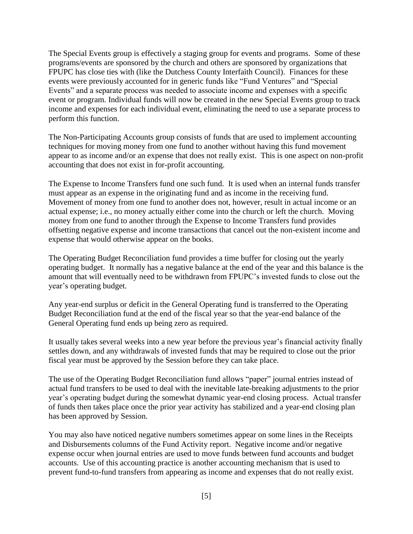The Special Events group is effectively a staging group for events and programs. Some of these programs/events are sponsored by the church and others are sponsored by organizations that FPUPC has close ties with (like the Dutchess County Interfaith Council). Finances for these events were previously accounted for in generic funds like "Fund Ventures" and "Special Events" and a separate process was needed to associate income and expenses with a specific event or program. Individual funds will now be created in the new Special Events group to track income and expenses for each individual event, eliminating the need to use a separate process to perform this function.

The Non-Participating Accounts group consists of funds that are used to implement accounting techniques for moving money from one fund to another without having this fund movement appear to as income and/or an expense that does not really exist. This is one aspect on non-profit accounting that does not exist in for-profit accounting.

The Expense to Income Transfers fund one such fund. It is used when an internal funds transfer must appear as an expense in the originating fund and as income in the receiving fund. Movement of money from one fund to another does not, however, result in actual income or an actual expense; i.e., no money actually either come into the church or left the church. Moving money from one fund to another through the Expense to Income Transfers fund provides offsetting negative expense and income transactions that cancel out the non-existent income and expense that would otherwise appear on the books.

The Operating Budget Reconciliation fund provides a time buffer for closing out the yearly operating budget. It normally has a negative balance at the end of the year and this balance is the amount that will eventually need to be withdrawn from FPUPC's invested funds to close out the year's operating budget.

Any year-end surplus or deficit in the General Operating fund is transferred to the Operating Budget Reconciliation fund at the end of the fiscal year so that the year-end balance of the General Operating fund ends up being zero as required.

It usually takes several weeks into a new year before the previous year's financial activity finally settles down, and any withdrawals of invested funds that may be required to close out the prior fiscal year must be approved by the Session before they can take place.

The use of the Operating Budget Reconciliation fund allows "paper" journal entries instead of actual fund transfers to be used to deal with the inevitable late-breaking adjustments to the prior year's operating budget during the somewhat dynamic year-end closing process. Actual transfer of funds then takes place once the prior year activity has stabilized and a year-end closing plan has been approved by Session.

You may also have noticed negative numbers sometimes appear on some lines in the Receipts and Disbursements columns of the Fund Activity report. Negative income and/or negative expense occur when journal entries are used to move funds between fund accounts and budget accounts. Use of this accounting practice is another accounting mechanism that is used to prevent fund-to-fund transfers from appearing as income and expenses that do not really exist.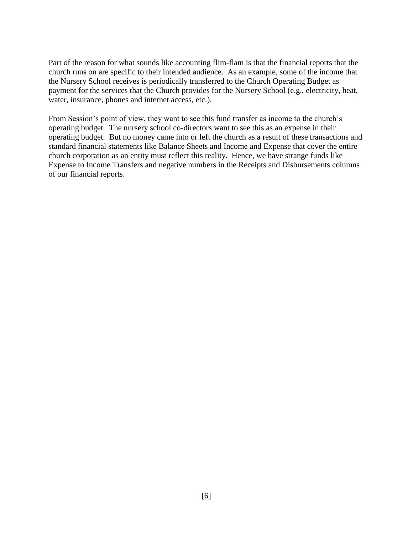Part of the reason for what sounds like accounting flim-flam is that the financial reports that the church runs on are specific to their intended audience. As an example, some of the income that the Nursery School receives is periodically transferred to the Church Operating Budget as payment for the services that the Church provides for the Nursery School (e.g., electricity, heat, water, insurance, phones and internet access, etc.).

From Session's point of view, they want to see this fund transfer as income to the church's operating budget. The nursery school co-directors want to see this as an expense in their operating budget. But no money came into or left the church as a result of these transactions and standard financial statements like Balance Sheets and Income and Expense that cover the entire church corporation as an entity must reflect this reality. Hence, we have strange funds like Expense to Income Transfers and negative numbers in the Receipts and Disbursements columns of our financial reports.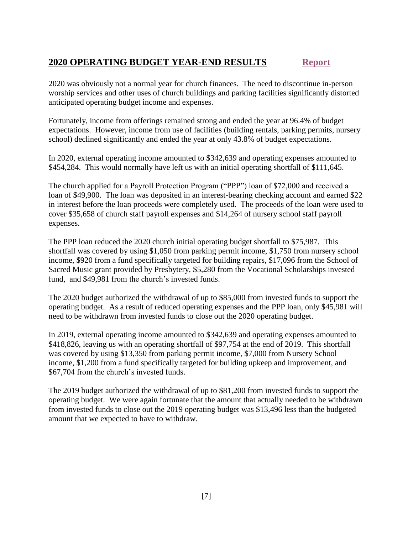# <span id="page-6-0"></span>**2020 OPERATING BUDGET YEAR-END RESULTS [Report](https://a4d042b4-37b0-4bbc-9658-bbb2c046ff6e.usrfiles.com/ugd/a4d042_aa3aa52576f8446ebec6be902a5cf6f3.pdf)**

2020 was obviously not a normal year for church finances. The need to discontinue in-person worship services and other uses of church buildings and parking facilities significantly distorted anticipated operating budget income and expenses.

Fortunately, income from offerings remained strong and ended the year at 96.4% of budget expectations. However, income from use of facilities (building rentals, parking permits, nursery school) declined significantly and ended the year at only 43.8% of budget expectations.

In 2020, external operating income amounted to \$342,639 and operating expenses amounted to \$454,284. This would normally have left us with an initial operating shortfall of \$111,645.

The church applied for a Payroll Protection Program ("PPP") loan of \$72,000 and received a loan of \$49,900. The loan was deposited in an interest-bearing checking account and earned \$22 in interest before the loan proceeds were completely used. The proceeds of the loan were used to cover \$35,658 of church staff payroll expenses and \$14,264 of nursery school staff payroll expenses.

The PPP loan reduced the 2020 church initial operating budget shortfall to \$75,987. This shortfall was covered by using \$1,050 from parking permit income, \$1,750 from nursery school income, \$920 from a fund specifically targeted for building repairs, \$17,096 from the School of Sacred Music grant provided by Presbytery, \$5,280 from the Vocational Scholarships invested fund, and \$49,981 from the church's invested funds.

The 2020 budget authorized the withdrawal of up to \$85,000 from invested funds to support the operating budget. As a result of reduced operating expenses and the PPP loan, only \$45,981 will need to be withdrawn from invested funds to close out the 2020 operating budget.

In 2019, external operating income amounted to \$342,639 and operating expenses amounted to \$418,826, leaving us with an operating shortfall of \$97,754 at the end of 2019. This shortfall was covered by using \$13,350 from parking permit income, \$7,000 from Nursery School income, \$1,200 from a fund specifically targeted for building upkeep and improvement, and \$67,704 from the church's invested funds.

The 2019 budget authorized the withdrawal of up to \$81,200 from invested funds to support the operating budget. We were again fortunate that the amount that actually needed to be withdrawn from invested funds to close out the 2019 operating budget was \$13,496 less than the budgeted amount that we expected to have to withdraw.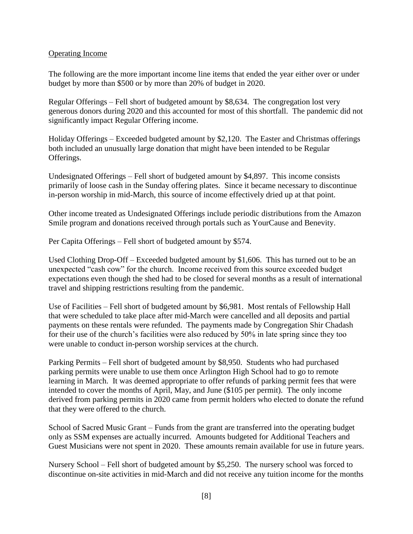### <span id="page-7-0"></span>Operating Income

The following are the more important income line items that ended the year either over or under budget by more than \$500 or by more than 20% of budget in 2020.

Regular Offerings – Fell short of budgeted amount by \$8,634. The congregation lost very generous donors during 2020 and this accounted for most of this shortfall. The pandemic did not significantly impact Regular Offering income.

Holiday Offerings – Exceeded budgeted amount by \$2,120. The Easter and Christmas offerings both included an unusually large donation that might have been intended to be Regular Offerings.

Undesignated Offerings – Fell short of budgeted amount by \$4,897. This income consists primarily of loose cash in the Sunday offering plates. Since it became necessary to discontinue in-person worship in mid-March, this source of income effectively dried up at that point.

Other income treated as Undesignated Offerings include periodic distributions from the Amazon Smile program and donations received through portals such as YourCause and Benevity.

Per Capita Offerings – Fell short of budgeted amount by \$574.

Used Clothing Drop-Off – Exceeded budgeted amount by \$1,606. This has turned out to be an unexpected "cash cow" for the church. Income received from this source exceeded budget expectations even though the shed had to be closed for several months as a result of international travel and shipping restrictions resulting from the pandemic.

Use of Facilities – Fell short of budgeted amount by \$6,981. Most rentals of Fellowship Hall that were scheduled to take place after mid-March were cancelled and all deposits and partial payments on these rentals were refunded. The payments made by Congregation Shir Chadash for their use of the church's facilities were also reduced by 50% in late spring since they too were unable to conduct in-person worship services at the church.

Parking Permits – Fell short of budgeted amount by \$8,950. Students who had purchased parking permits were unable to use them once Arlington High School had to go to remote learning in March. It was deemed appropriate to offer refunds of parking permit fees that were intended to cover the months of April, May, and June (\$105 per permit). The only income derived from parking permits in 2020 came from permit holders who elected to donate the refund that they were offered to the church.

School of Sacred Music Grant – Funds from the grant are transferred into the operating budget only as SSM expenses are actually incurred. Amounts budgeted for Additional Teachers and Guest Musicians were not spent in 2020. These amounts remain available for use in future years.

Nursery School – Fell short of budgeted amount by \$5,250. The nursery school was forced to discontinue on-site activities in mid-March and did not receive any tuition income for the months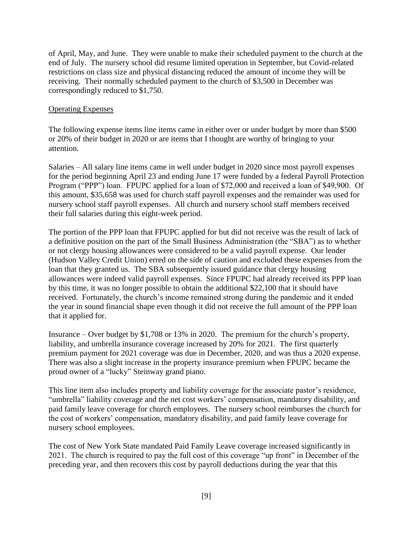of April, May, and June. They were unable to make their scheduled payment to the church at the end of July. The nursery school did resume limited operation in September, but Covid-related restrictions on class size and physical distancing reduced the amount of income they will be receiving. Their normally scheduled payment to the church of \$3,500 in December was correspondingly reduced to \$1,750.

#### <span id="page-8-0"></span>Operating Expenses

The following expense items line items came in either over or under budget by more than \$500 or 20% of their budget in 2020 or are items that I thought are worthy of bringing to your attention.

Salaries – All salary line items came in well under budget in 2020 since most payroll expenses for the period beginning April 23 and ending June 17 were funded by a federal Payroll Protection Program ("PPP") loan. FPUPC applied for a loan of \$72,000 and received a loan of \$49,900. Of this amount, \$35,658 was used for church staff payroll expenses and the remainder was used for nursery school staff payroll expenses. All church and nursery school staff members received their full salaries during this eight-week period.

The portion of the PPP loan that FPUPC applied for but did not receive was the result of lack of a definitive position on the part of the Small Business Administration (the "SBA") as to whether or not clergy housing allowances were considered to be a valid payroll expense. Our lender (Hudson Valley Credit Union) erred on the side of caution and excluded these expenses from the loan that they granted us. The SBA subsequently issued guidance that clergy housing allowances were indeed valid payroll expenses. Since FPUPC had already received its PPP loan by this time, it was no longer possible to obtain the additional \$22,100 that it should have received. Fortunately, the church's income remained strong during the pandemic and it ended the year in sound financial shape even though it did not receive the full amount of the PPP loan that it applied for.

Insurance – Over budget by \$1,708 or 13% in 2020. The premium for the church's property, liability, and umbrella insurance coverage increased by 20% for 2021. The first quarterly premium payment for 2021 coverage was due in December, 2020, and was thus a 2020 expense. There was also a slight increase in the property insurance premium when FPUPC became the proud owner of a "lucky" Steinway grand piano.

This line item also includes property and liability coverage for the associate pastor's residence, "umbrella" liability coverage and the net cost workers' compensation, mandatory disability, and paid family leave coverage for church employees. The nursery school reimburses the church for the cost of workers' compensation, mandatory disability, and paid family leave coverage for nursery school employees.

The cost of New York State mandated Paid Family Leave coverage increased significantly in 2021. The church is required to pay the full cost of this coverage "up front" in December of the preceding year, and then recovers this cost by payroll deductions during the year that this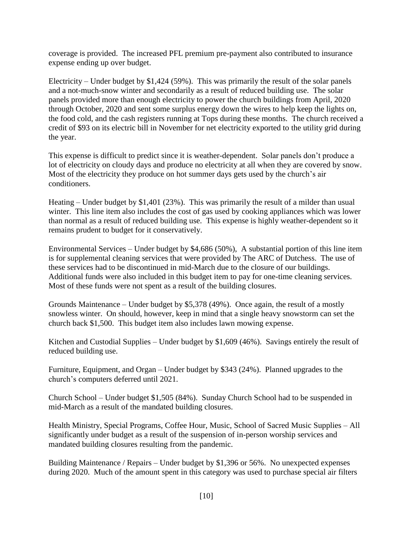coverage is provided. The increased PFL premium pre-payment also contributed to insurance expense ending up over budget.

Electricity – Under budget by \$1,424 (59%). This was primarily the result of the solar panels and a not-much-snow winter and secondarily as a result of reduced building use. The solar panels provided more than enough electricity to power the church buildings from April, 2020 through October, 2020 and sent some surplus energy down the wires to help keep the lights on, the food cold, and the cash registers running at Tops during these months. The church received a credit of \$93 on its electric bill in November for net electricity exported to the utility grid during the year.

This expense is difficult to predict since it is weather-dependent. Solar panels don't produce a lot of electricity on cloudy days and produce no electricity at all when they are covered by snow. Most of the electricity they produce on hot summer days gets used by the church's air conditioners.

Heating – Under budget by \$1,401 (23%). This was primarily the result of a milder than usual winter. This line item also includes the cost of gas used by cooking appliances which was lower than normal as a result of reduced building use. This expense is highly weather-dependent so it remains prudent to budget for it conservatively.

Environmental Services – Under budget by \$4,686 (50%), A substantial portion of this line item is for supplemental cleaning services that were provided by The ARC of Dutchess. The use of these services had to be discontinued in mid-March due to the closure of our buildings. Additional funds were also included in this budget item to pay for one-time cleaning services. Most of these funds were not spent as a result of the building closures.

Grounds Maintenance – Under budget by \$5,378 (49%). Once again, the result of a mostly snowless winter. On should, however, keep in mind that a single heavy snowstorm can set the church back \$1,500. This budget item also includes lawn mowing expense.

Kitchen and Custodial Supplies – Under budget by \$1,609 (46%). Savings entirely the result of reduced building use.

Furniture, Equipment, and Organ – Under budget by \$343 (24%). Planned upgrades to the church's computers deferred until 2021.

Church School – Under budget \$1,505 (84%). Sunday Church School had to be suspended in mid-March as a result of the mandated building closures.

Health Ministry, Special Programs, Coffee Hour, Music, School of Sacred Music Supplies – All significantly under budget as a result of the suspension of in-person worship services and mandated building closures resulting from the pandemic.

Building Maintenance / Repairs – Under budget by \$1,396 or 56%. No unexpected expenses during 2020. Much of the amount spent in this category was used to purchase special air filters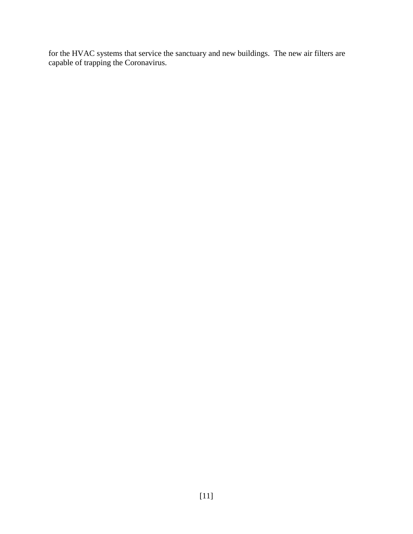for the HVAC systems that service the sanctuary and new buildings. The new air filters are capable of trapping the Coronavirus.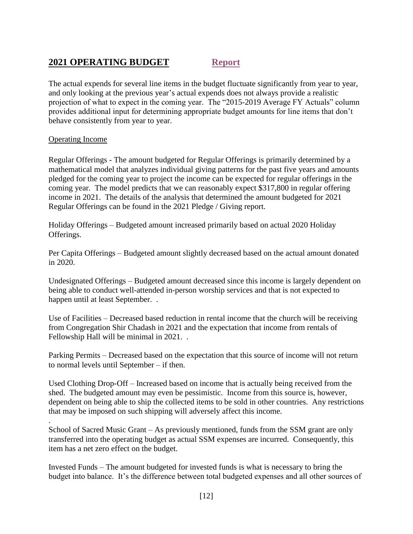# <span id="page-11-0"></span>**2021 OPERATING BUDGET [Report](https://a4d042b4-37b0-4bbc-9658-bbb2c046ff6e.usrfiles.com/ugd/a4d042_fb396766a411406294fb1c51cd5357be.pdf)**

The actual expends for several line items in the budget fluctuate significantly from year to year, and only looking at the previous year's actual expends does not always provide a realistic projection of what to expect in the coming year. The "2015-2019 Average FY Actuals" column provides additional input for determining appropriate budget amounts for line items that don't behave consistently from year to year.

### <span id="page-11-1"></span>Operating Income

.

Regular Offerings - The amount budgeted for Regular Offerings is primarily determined by a mathematical model that analyzes individual giving patterns for the past five years and amounts pledged for the coming year to project the income can be expected for regular offerings in the coming year. The model predicts that we can reasonably expect \$317,800 in regular offering income in 2021. The details of the analysis that determined the amount budgeted for 2021 Regular Offerings can be found in the 2021 Pledge / Giving report.

Holiday Offerings – Budgeted amount increased primarily based on actual 2020 Holiday Offerings.

Per Capita Offerings – Budgeted amount slightly decreased based on the actual amount donated in 2020.

Undesignated Offerings – Budgeted amount decreased since this income is largely dependent on being able to conduct well-attended in-person worship services and that is not expected to happen until at least September. .

Use of Facilities – Decreased based reduction in rental income that the church will be receiving from Congregation Shir Chadash in 2021 and the expectation that income from rentals of Fellowship Hall will be minimal in 2021. .

Parking Permits – Decreased based on the expectation that this source of income will not return to normal levels until September – if then.

Used Clothing Drop-Off – Increased based on income that is actually being received from the shed. The budgeted amount may even be pessimistic. Income from this source is, however, dependent on being able to ship the collected items to be sold in other countries. Any restrictions that may be imposed on such shipping will adversely affect this income.

School of Sacred Music Grant – As previously mentioned, funds from the SSM grant are only transferred into the operating budget as actual SSM expenses are incurred. Consequently, this item has a net zero effect on the budget.

Invested Funds – The amount budgeted for invested funds is what is necessary to bring the budget into balance. It's the difference between total budgeted expenses and all other sources of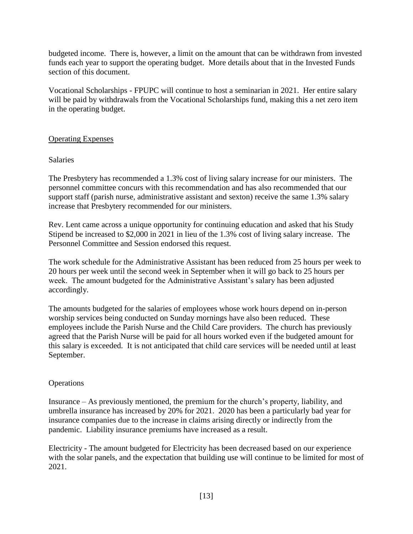budgeted income. There is, however, a limit on the amount that can be withdrawn from invested funds each year to support the operating budget. More details about that in the Invested Funds section of this document.

Vocational Scholarships - FPUPC will continue to host a seminarian in 2021. Her entire salary will be paid by withdrawals from the Vocational Scholarships fund, making this a net zero item in the operating budget.

### <span id="page-12-0"></span>Operating Expenses

### Salaries

The Presbytery has recommended a 1.3% cost of living salary increase for our ministers. The personnel committee concurs with this recommendation and has also recommended that our support staff (parish nurse, administrative assistant and sexton) receive the same 1.3% salary increase that Presbytery recommended for our ministers.

Rev. Lent came across a unique opportunity for continuing education and asked that his Study Stipend be increased to \$2,000 in 2021 in lieu of the 1.3% cost of living salary increase. The Personnel Committee and Session endorsed this request.

The work schedule for the Administrative Assistant has been reduced from 25 hours per week to 20 hours per week until the second week in September when it will go back to 25 hours per week. The amount budgeted for the Administrative Assistant's salary has been adjusted accordingly.

The amounts budgeted for the salaries of employees whose work hours depend on in-person worship services being conducted on Sunday mornings have also been reduced. These employees include the Parish Nurse and the Child Care providers. The church has previously agreed that the Parish Nurse will be paid for all hours worked even if the budgeted amount for this salary is exceeded. It is not anticipated that child care services will be needed until at least September.

## Operations

Insurance – As previously mentioned, the premium for the church's property, liability, and umbrella insurance has increased by 20% for 2021. 2020 has been a particularly bad year for insurance companies due to the increase in claims arising directly or indirectly from the pandemic. Liability insurance premiums have increased as a result.

Electricity - The amount budgeted for Electricity has been decreased based on our experience with the solar panels, and the expectation that building use will continue to be limited for most of 2021.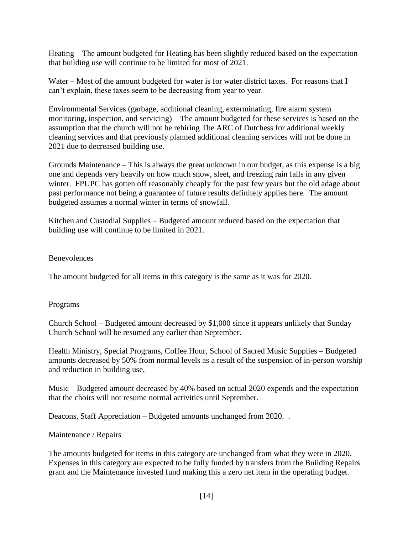Heating – The amount budgeted for Heating has been slightly reduced based on the expectation that building use will continue to be limited for most of 2021.

Water – Most of the amount budgeted for water is for water district taxes. For reasons that I can't explain, these taxes seem to be decreasing from year to year.

Environmental Services (garbage, additional cleaning, exterminating, fire alarm system monitoring, inspection, and servicing) – The amount budgeted for these services is based on the assumption that the church will not be rehiring The ARC of Dutchess for additional weekly cleaning services and that previously planned additional cleaning services will not be done in 2021 due to decreased building use.

Grounds Maintenance – This is always the great unknown in our budget, as this expense is a big one and depends very heavily on how much snow, sleet, and freezing rain falls in any given winter. FPUPC has gotten off reasonably cheaply for the past few years but the old adage about past performance not being a guarantee of future results definitely applies here. The amount budgeted assumes a normal winter in terms of snowfall.

Kitchen and Custodial Supplies – Budgeted amount reduced based on the expectation that building use will continue to be limited in 2021.

### **Benevolences**

The amount budgeted for all items in this category is the same as it was for 2020.

#### Programs

Church School – Budgeted amount decreased by \$1,000 since it appears unlikely that Sunday Church School will be resumed any earlier than September.

Health Ministry, Special Programs, Coffee Hour, School of Sacred Music Supplies – Budgeted amounts decreased by 50% from normal levels as a result of the suspension of in-person worship and reduction in building use,

Music – Budgeted amount decreased by 40% based on actual 2020 expends and the expectation that the choirs will not resume normal activities until September.

Deacons, Staff Appreciation – Budgeted amounts unchanged from 2020. .

#### Maintenance / Repairs

The amounts budgeted for items in this category are unchanged from what they were in 2020. Expenses in this category are expected to be fully funded by transfers from the Building Repairs grant and the Maintenance invested fund making this a zero net item in the operating budget.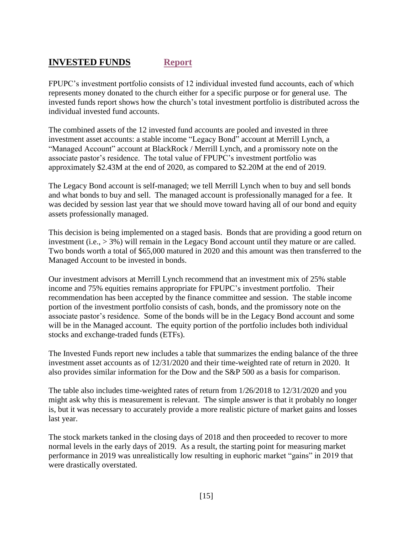# <span id="page-14-0"></span>**INVESTED FUNDS [Report](https://a4d042b4-37b0-4bbc-9658-bbb2c046ff6e.usrfiles.com/ugd/a4d042_44d84b4da233452db3e2afd9802f583e.pdf)**

FPUPC's investment portfolio consists of 12 individual invested fund accounts, each of which represents money donated to the church either for a specific purpose or for general use. The invested funds report shows how the church's total investment portfolio is distributed across the individual invested fund accounts.

The combined assets of the 12 invested fund accounts are pooled and invested in three investment asset accounts: a stable income "Legacy Bond" account at Merrill Lynch, a "Managed Account" account at BlackRock / Merrill Lynch, and a promissory note on the associate pastor's residence. The total value of FPUPC's investment portfolio was approximately \$2.43M at the end of 2020, as compared to \$2.20M at the end of 2019.

The Legacy Bond account is self-managed; we tell Merrill Lynch when to buy and sell bonds and what bonds to buy and sell. The managed account is professionally managed for a fee. It was decided by session last year that we should move toward having all of our bond and equity assets professionally managed.

This decision is being implemented on a staged basis. Bonds that are providing a good return on investment (i.e., > 3%) will remain in the Legacy Bond account until they mature or are called. Two bonds worth a total of \$65,000 matured in 2020 and this amount was then transferred to the Managed Account to be invested in bonds.

Our investment advisors at Merrill Lynch recommend that an investment mix of 25% stable income and 75% equities remains appropriate for FPUPC's investment portfolio. Their recommendation has been accepted by the finance committee and session. The stable income portion of the investment portfolio consists of cash, bonds, and the promissory note on the associate pastor's residence. Some of the bonds will be in the Legacy Bond account and some will be in the Managed account. The equity portion of the portfolio includes both individual stocks and exchange-traded funds (ETFs).

The Invested Funds report new includes a table that summarizes the ending balance of the three investment asset accounts as of 12/31/2020 and their time-weighted rate of return in 2020. It also provides similar information for the Dow and the S&P 500 as a basis for comparison.

The table also includes time-weighted rates of return from 1/26/2018 to 12/31/2020 and you might ask why this is measurement is relevant. The simple answer is that it probably no longer is, but it was necessary to accurately provide a more realistic picture of market gains and losses last year.

The stock markets tanked in the closing days of 2018 and then proceeded to recover to more normal levels in the early days of 2019. As a result, the starting point for measuring market performance in 2019 was unrealistically low resulting in euphoric market "gains" in 2019 that were drastically overstated.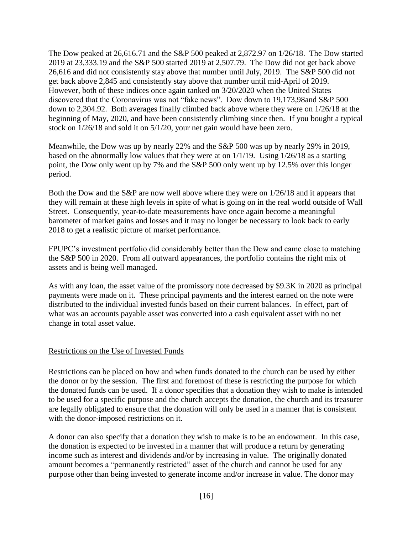The Dow peaked at 26,616.71 and the S&P 500 peaked at 2,872.97 on 1/26/18. The Dow started 2019 at 23,333.19 and the S&P 500 started 2019 at 2,507.79. The Dow did not get back above 26,616 and did not consistently stay above that number until July, 2019. The S&P 500 did not get back above 2,845 and consistently stay above that number until mid-April of 2019. However, both of these indices once again tanked on 3/20/2020 when the United States discovered that the Coronavirus was not "fake news". Dow down to 19,173,98and S&P 500 down to 2,304.92. Both averages finally climbed back above where they were on 1/26/18 at the beginning of May, 2020, and have been consistently climbing since then. If you bought a typical stock on 1/26/18 and sold it on 5/1/20, your net gain would have been zero.

Meanwhile, the Dow was up by nearly 22% and the S&P 500 was up by nearly 29% in 2019, based on the abnormally low values that they were at on 1/1/19. Using 1/26/18 as a starting point, the Dow only went up by 7% and the S&P 500 only went up by 12.5% over this longer period.

Both the Dow and the S&P are now well above where they were on 1/26/18 and it appears that they will remain at these high levels in spite of what is going on in the real world outside of Wall Street. Consequently, year-to-date measurements have once again become a meaningful barometer of market gains and losses and it may no longer be necessary to look back to early 2018 to get a realistic picture of market performance.

FPUPC's investment portfolio did considerably better than the Dow and came close to matching the S&P 500 in 2020. From all outward appearances, the portfolio contains the right mix of assets and is being well managed.

As with any loan, the asset value of the promissory note decreased by \$9.3K in 2020 as principal payments were made on it. These principal payments and the interest earned on the note were distributed to the individual invested funds based on their current balances. In effect, part of what was an accounts payable asset was converted into a cash equivalent asset with no net change in total asset value.

### <span id="page-15-0"></span>Restrictions on the Use of Invested Funds

Restrictions can be placed on how and when funds donated to the church can be used by either the donor or by the session. The first and foremost of these is restricting the purpose for which the donated funds can be used. If a donor specifies that a donation they wish to make is intended to be used for a specific purpose and the church accepts the donation, the church and its treasurer are legally obligated to ensure that the donation will only be used in a manner that is consistent with the donor-imposed restrictions on it.

A donor can also specify that a donation they wish to make is to be an endowment. In this case, the donation is expected to be invested in a manner that will produce a return by generating income such as interest and dividends and/or by increasing in value. The originally donated amount becomes a "permanently restricted" asset of the church and cannot be used for any purpose other than being invested to generate income and/or increase in value. The donor may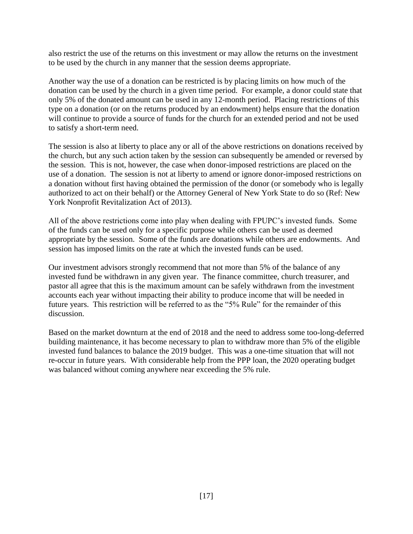also restrict the use of the returns on this investment or may allow the returns on the investment to be used by the church in any manner that the session deems appropriate.

Another way the use of a donation can be restricted is by placing limits on how much of the donation can be used by the church in a given time period. For example, a donor could state that only 5% of the donated amount can be used in any 12-month period. Placing restrictions of this type on a donation (or on the returns produced by an endowment) helps ensure that the donation will continue to provide a source of funds for the church for an extended period and not be used to satisfy a short-term need.

The session is also at liberty to place any or all of the above restrictions on donations received by the church, but any such action taken by the session can subsequently be amended or reversed by the session. This is not, however, the case when donor-imposed restrictions are placed on the use of a donation. The session is not at liberty to amend or ignore donor-imposed restrictions on a donation without first having obtained the permission of the donor (or somebody who is legally authorized to act on their behalf) or the Attorney General of New York State to do so (Ref: New York Nonprofit Revitalization Act of 2013).

All of the above restrictions come into play when dealing with FPUPC's invested funds. Some of the funds can be used only for a specific purpose while others can be used as deemed appropriate by the session. Some of the funds are donations while others are endowments. And session has imposed limits on the rate at which the invested funds can be used.

Our investment advisors strongly recommend that not more than 5% of the balance of any invested fund be withdrawn in any given year. The finance committee, church treasurer, and pastor all agree that this is the maximum amount can be safely withdrawn from the investment accounts each year without impacting their ability to produce income that will be needed in future years. This restriction will be referred to as the "5% Rule" for the remainder of this discussion.

Based on the market downturn at the end of 2018 and the need to address some too-long-deferred building maintenance, it has become necessary to plan to withdraw more than 5% of the eligible invested fund balances to balance the 2019 budget. This was a one-time situation that will not re-occur in future years. With considerable help from the PPP loan, the 2020 operating budget was balanced without coming anywhere near exceeding the 5% rule.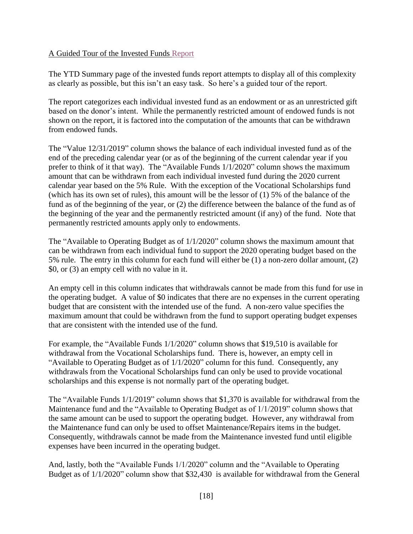## <span id="page-17-0"></span>A Guided Tour of the Invested Funds [Report](https://a4d042b4-37b0-4bbc-9658-bbb2c046ff6e.usrfiles.com/ugd/a4d042_44d84b4da233452db3e2afd9802f583e.pdf)

The YTD Summary page of the invested funds report attempts to display all of this complexity as clearly as possible, but this isn't an easy task. So here's a guided tour of the report.

The report categorizes each individual invested fund as an endowment or as an unrestricted gift based on the donor's intent. While the permanently restricted amount of endowed funds is not shown on the report, it is factored into the computation of the amounts that can be withdrawn from endowed funds.

The "Value 12/31/2019" column shows the balance of each individual invested fund as of the end of the preceding calendar year (or as of the beginning of the current calendar year if you prefer to think of it that way). The "Available Funds 1/1/2020" column shows the maximum amount that can be withdrawn from each individual invested fund during the 2020 current calendar year based on the 5% Rule. With the exception of the Vocational Scholarships fund (which has its own set of rules), this amount will be the lessor of (1) 5% of the balance of the fund as of the beginning of the year, or (2) the difference between the balance of the fund as of the beginning of the year and the permanently restricted amount (if any) of the fund. Note that permanently restricted amounts apply only to endowments.

The "Available to Operating Budget as of 1/1/2020" column shows the maximum amount that can be withdrawn from each individual fund to support the 2020 operating budget based on the 5% rule. The entry in this column for each fund will either be (1) a non-zero dollar amount, (2) \$0, or (3) an empty cell with no value in it.

An empty cell in this column indicates that withdrawals cannot be made from this fund for use in the operating budget. A value of \$0 indicates that there are no expenses in the current operating budget that are consistent with the intended use of the fund. A non-zero value specifies the maximum amount that could be withdrawn from the fund to support operating budget expenses that are consistent with the intended use of the fund.

For example, the "Available Funds 1/1/2020" column shows that \$19,510 is available for withdrawal from the Vocational Scholarships fund. There is, however, an empty cell in "Available to Operating Budget as of 1/1/2020" column for this fund. Consequently, any withdrawals from the Vocational Scholarships fund can only be used to provide vocational scholarships and this expense is not normally part of the operating budget.

The "Available Funds 1/1/2019" column shows that \$1,370 is available for withdrawal from the Maintenance fund and the "Available to Operating Budget as of 1/1/2019" column shows that the same amount can be used to support the operating budget. However, any withdrawal from the Maintenance fund can only be used to offset Maintenance/Repairs items in the budget. Consequently, withdrawals cannot be made from the Maintenance invested fund until eligible expenses have been incurred in the operating budget.

And, lastly, both the "Available Funds 1/1/2020" column and the "Available to Operating Budget as of 1/1/2020" column show that \$32,430 is available for withdrawal from the General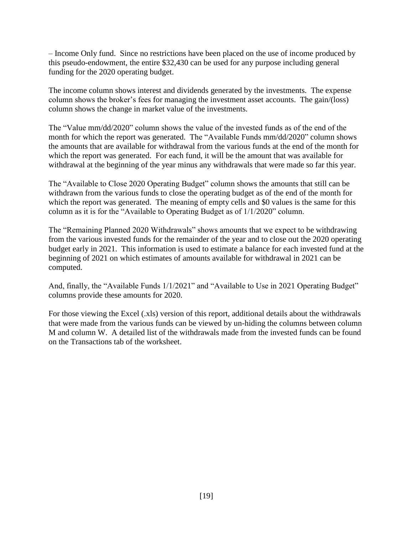– Income Only fund. Since no restrictions have been placed on the use of income produced by this pseudo-endowment, the entire \$32,430 can be used for any purpose including general funding for the 2020 operating budget.

The income column shows interest and dividends generated by the investments. The expense column shows the broker's fees for managing the investment asset accounts. The gain/(loss) column shows the change in market value of the investments.

The "Value mm/dd/2020" column shows the value of the invested funds as of the end of the month for which the report was generated. The "Available Funds mm/dd/2020" column shows the amounts that are available for withdrawal from the various funds at the end of the month for which the report was generated. For each fund, it will be the amount that was available for withdrawal at the beginning of the year minus any withdrawals that were made so far this year.

The "Available to Close 2020 Operating Budget" column shows the amounts that still can be withdrawn from the various funds to close the operating budget as of the end of the month for which the report was generated. The meaning of empty cells and \$0 values is the same for this column as it is for the "Available to Operating Budget as of 1/1/2020" column.

The "Remaining Planned 2020 Withdrawals" shows amounts that we expect to be withdrawing from the various invested funds for the remainder of the year and to close out the 2020 operating budget early in 2021. This information is used to estimate a balance for each invested fund at the beginning of 2021 on which estimates of amounts available for withdrawal in 2021 can be computed.

And, finally, the "Available Funds 1/1/2021" and "Available to Use in 2021 Operating Budget" columns provide these amounts for 2020.

For those viewing the Excel (.xls) version of this report, additional details about the withdrawals that were made from the various funds can be viewed by un-hiding the columns between column M and column W. A detailed list of the withdrawals made from the invested funds can be found on the Transactions tab of the worksheet.